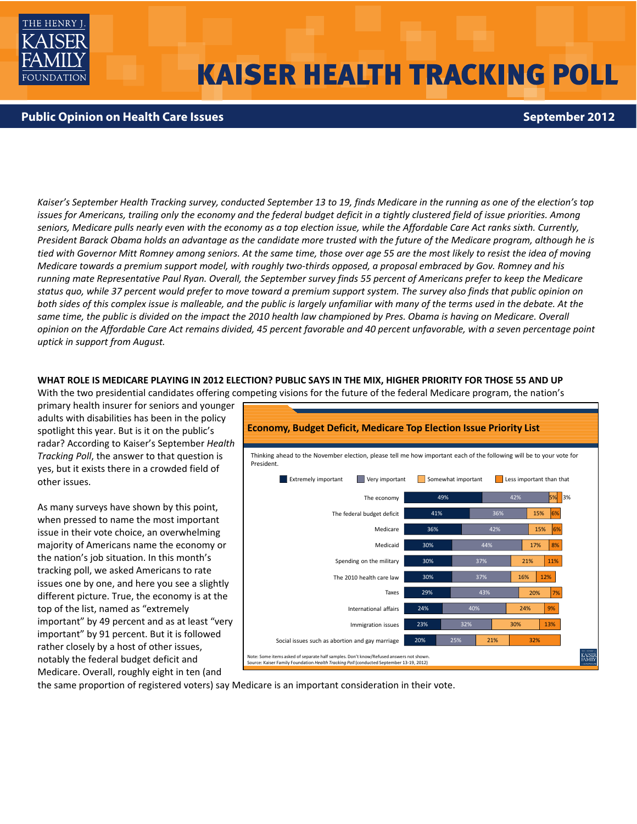

# **KAISER HEALTH TRACKING POLL**

# **Public Opinion on Health Care Issues September 2012**

Kaiser's September Health Tracking survey, conducted September 13 to 19, finds Medicare in the running as one of the election's top issues for Americans, trailing only the economy and the federal budget deficit in a tightly clustered field of issue priorities. Among seniors, Medicare pulls nearly even with the economy as a top election issue, while the Affordable Care Act ranks sixth. Currently, President Barack Obama holds an advantage as the candidate more trusted with the future of the Medicare program, although he is tied with Governor Mitt Romney among seniors. At the same time, those over age 55 are the most likely to resist the idea of moving Medicare towards a premium support model, with roughly two-thirds opposed, a proposal embraced by Gov. Romney and his running mate Representative Paul Ryan. Overall, the September survey finds 55 percent of Americans prefer to keep the Medicare status quo, while 37 percent would prefer to move toward a premium support system. The survey also finds that public opinion on both sides of this complex issue is malleable, and the public is largely unfamiliar with many of the terms used in the debate. At the same time, the public is divided on the impact the 2010 health law championed by Pres. Obama is having on Medicare. Overall opinion on the Affordable Care Act remains divided, 45 percent favorable and 40 percent unfavorable, with a seven percentage point *uptick in support from August.*

#### WHAT ROLE IS MEDICARE PLAYING IN 2012 ELECTION? PUBLIC SAYS IN THE MIX, HIGHER PRIORITY FOR THOSE 55 AND UP

With the two presidential candidates offering competing visions for the future of the federal Medicare program, the nation's

primary health insurer for seniors and younger adults with disabilities has been in the policy spotlight this year. But is it on the public's radar? According to Kaiser's September *Health Tracking Poll*, the answer to that question is yes, but it exists there in a crowded field of other issues.

As many surveys have shown by this point, when pressed to name the most important issue in their vote choice, an overwhelming majority of Americans name the economy or the nation's job situation. In this month's tracking poll, we asked Americans to rate issues one by one, and here you see a slightly different picture. True, the economy is at the top of the list, named as "extremely important" by 49 percent and as at least "very important" by 91 percent. But it is followed rather closely by a host of other issues, notably the federal budget deficit and Medicare. Overall, roughly eight in ten (and



the same proportion of registered voters) say Medicare is an important consideration in their vote.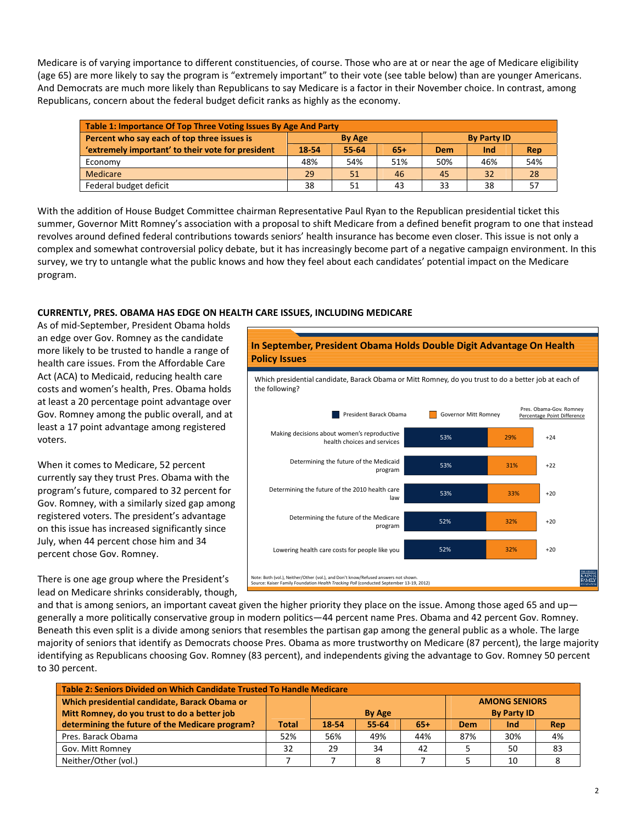Medicare is of varying importance to different constituencies, of course. Those who are at or near the age of Medicare eligibility (age 65) are more likely to say the program is "extremely important" to their vote (see table below) than are younger Americans. And Democrats are much more likely than Republicans to say Medicare is a factor in their November choice. In contrast, among Republicans, concern about the federal budget deficit ranks as highly as the economy.

| Table 1: Importance Of Top Three Voting Issues By Age And Party |       |               |       |                    |     |     |  |
|-----------------------------------------------------------------|-------|---------------|-------|--------------------|-----|-----|--|
| Percent who say each of top three issues is                     |       | <b>By Age</b> |       | <b>By Party ID</b> |     |     |  |
| 'extremely important' to their vote for president               | 18-54 | 55-64         | $65+$ | Dem                | Ind | Rep |  |
| Economy                                                         | 48%   | 54%           | 51%   | 50%                | 46% | 54% |  |
| Medicare                                                        | 29    | 51            | 46    | 45                 | 32  | 28  |  |
| Federal budget deficit                                          | 38    | 51            | 43    | 33                 | 38  | 57  |  |

With the addition of House Budget Committee chairman Representative Paul Ryan to the Republican presidential ticket this summer, Governor Mitt Romney's association with a proposal to shift Medicare from a defined benefit program to one that instead revolves around defined federal contributions towards seniors' health insurance has become even closer. This issue is not only a complex and somewhat controversial policy debate, but it has increasingly become part of a negative campaign environment. In this survey, we try to untangle what the public knows and how they feel about each candidates' potential impact on the Medicare program.

# **CURRENTLY, PRES. OBAMA HAS EDGE ON HEALTH CARE ISSUES, INCLUDING MEDICARE**

As of mid‐September, President Obama holds an edge over Gov. Romney as the candidate more likely to be trusted to handle a range of health care issues. From the Affordable Care Act (ACA) to Medicaid, reducing health care costs and women's health, Pres. Obama holds at least a 20 percentage point advantage over Gov. Romney among the public overall, and at least a 17 point advantage among registered voters.

When it comes to Medicare, 52 percent currently say they trust Pres. Obama with the program's future, compared to 32 percent for Gov. Romney, with a similarly sized gap among registered voters. The president's advantage on this issue has increased significantly since July, when 44 percent chose him and 34 percent chose Gov. Romney.

There is one age group where the President's lead on Medicare shrinks considerably, though,



and that is among seniors, an important caveat given the higher priority they place on the issue. Among those aged 65 and up generally a more politically conservative group in modern politics—44 percent name Pres. Obama and 42 percent Gov. Romney. Beneath this even split is a divide among seniors that resembles the partisan gap among the general public as a whole. The large majority of seniors that identify as Democrats choose Pres. Obama as more trustworthy on Medicare (87 percent), the large majority identifying as Republicans choosing Gov. Romney (83 percent), and independents giving the advantage to Gov. Romney 50 percent to 30 percent.

| Table 2: Seniors Divided on Which Candidate Trusted To Handle Medicare |       |       |               |       |     |                      |     |  |
|------------------------------------------------------------------------|-------|-------|---------------|-------|-----|----------------------|-----|--|
| Which presidential candidate, Barack Obama or                          |       |       |               |       |     | <b>AMONG SENIORS</b> |     |  |
| Mitt Romney, do you trust to do a better job                           |       |       | <b>By Age</b> |       |     | <b>By Party ID</b>   |     |  |
| determining the future of the Medicare program?                        | Total | 18-54 | 55-64         | $65+$ | Dem | <b>Ind</b>           | Rep |  |
| Pres. Barack Obama                                                     | 52%   | 56%   | 49%           | 44%   | 87% | 30%                  | 4%  |  |
| Gov. Mitt Romney                                                       | 32    | 29    | 34            | 42    |     | 50                   | 83  |  |
| Neither/Other (vol.)                                                   |       |       | 8             |       |     | 10                   |     |  |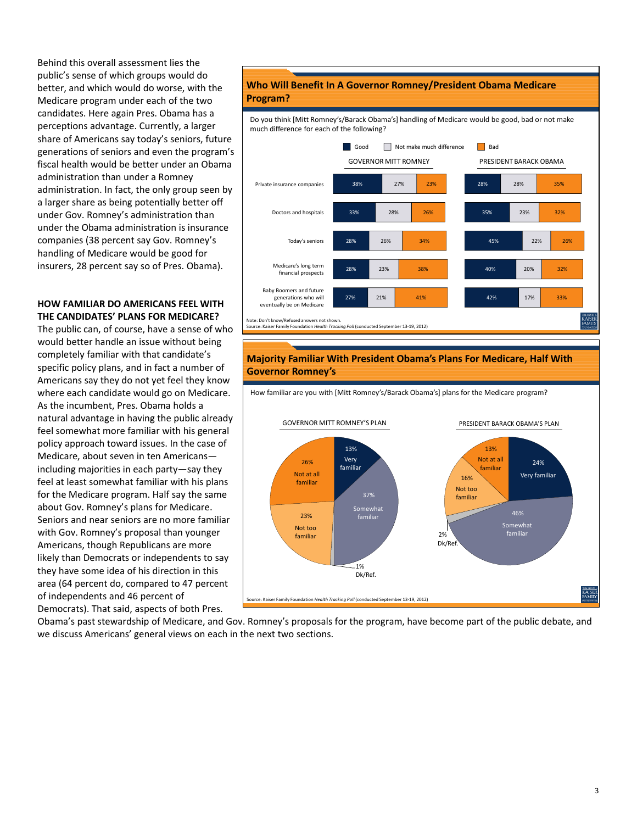Behind this overall assessment lies the public's sense of which groups would do better, and which would do worse, with the Medicare program under each of the two candidates. Here again Pres. Obama has a perceptions advantage. Currently, a larger share of Americans say today's seniors, future generations of seniors and even the program's fiscal health would be better under an Obama administration than under a Romney administration. In fact, the only group seen by a larger share as being potentially better off under Gov. Romney's administration than under the Obama administration is insurance companies (38 percent say Gov. Romney's handling of Medicare would be good for insurers, 28 percent say so of Pres. Obama).

#### **HOW FAMILIAR DO AMERICANS FEEL WITH THE CANDIDATES' PLANS FOR MEDICARE?**

The public can, of course, have a sense of who would better handle an issue without being completely familiar with that candidate's specific policy plans, and in fact a number of Americans say they do not yet feel they know where each candidate would go on Medicare. As the incumbent, Pres. Obama holds a natural advantage in having the public already feel somewhat more familiar with his general policy approach toward issues. In the case of Medicare, about seven in ten Americans including majorities in each party—say they feel at least somewhat familiar with his plans for the Medicare program. Half say the same about Gov. Romney's plans for Medicare. Seniors and near seniors are no more familiar with Gov. Romney's proposal than younger Americans, though Republicans are more likely than Democrats or independents to say they have some idea of his direction in this area (64 percent do, compared to 47 percent of independents and 46 percent of Democrats). That said, aspects of both Pres.

# **Who Will Benefit In A Governor Romney/President Obama Medicare Program?**

Do you think [Mitt Romney's/Barack Obama's] handling of Medicare would be good, bad or not make much difference for each of the following?



Source: Kaiser Family Foundation *Health Tracking Poll* (conducted September 13‐19, 2012)

# **Majority Familiar With President Obama's Plans For Medicare, Half With Governor Romney's**



Obama's past stewardship of Medicare, and Gov. Romney's proposals for the program, have become part of the public debate, and we discuss Americans' general views on each in the next two sections.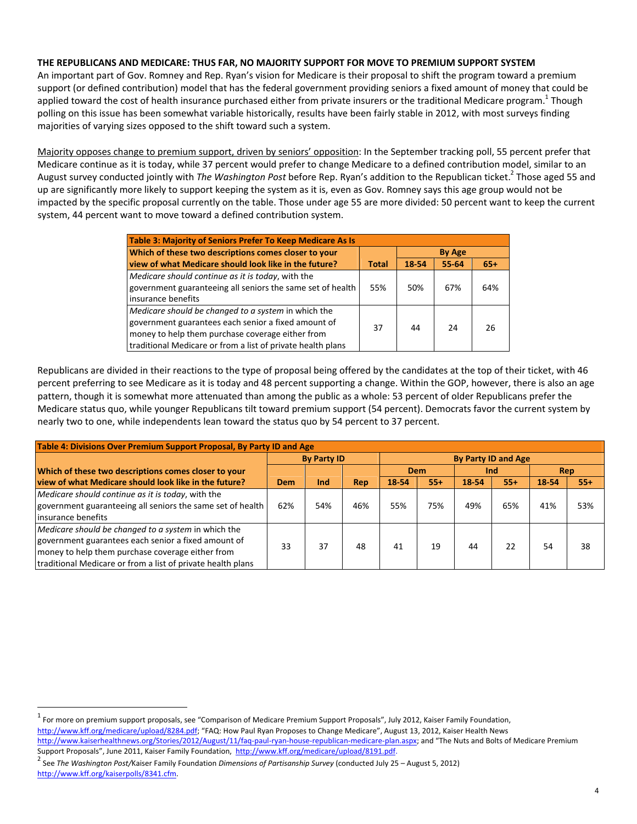# **THE REPUBLICANS AND MEDICARE: THUS FAR, NO MAJORITY SUPPORT FOR MOVE TO PREMIUM SUPPORT SYSTEM**

An important part of Gov. Romney and Rep. Ryan's vision for Medicare is their proposal to shift the program toward a premium support (or defined contribution) model that has the federal government providing seniors a fixed amount of money that could be applied toward the cost of health insurance purchased either from private insurers or the traditional Medicare program.<sup>1</sup> Though polling on this issue has been somewhat variable historically, results have been fairly stable in 2012, with most surveys finding majorities of varying sizes opposed to the shift toward such a system.

Majority opposes change to premium support, driven by seniors' opposition: In the September tracking poll, 55 percent prefer that Medicare continue as it is today, while 37 percent would prefer to change Medicare to a defined contribution model, similar to an August survey conducted jointly with *The Washington Post* before Rep. Ryan's addition to the Republican ticket.2 Those aged 55 and up are significantly more likely to support keeping the system as it is, even as Gov. Romney says this age group would not be impacted by the specific proposal currently on the table. Those under age 55 are more divided: 50 percent want to keep the current system, 44 percent want to move toward a defined contribution system.

| Table 3: Majority of Seniors Prefer To Keep Medicare As Is                                                                                                                                                                    |       |       |       |       |  |  |
|-------------------------------------------------------------------------------------------------------------------------------------------------------------------------------------------------------------------------------|-------|-------|-------|-------|--|--|
| Which of these two descriptions comes closer to your                                                                                                                                                                          |       |       |       |       |  |  |
| view of what Medicare should look like in the future?                                                                                                                                                                         | Total | 18-54 | 55-64 | $65+$ |  |  |
| Medicare should continue as it is today, with the<br>government guaranteeing all seniors the same set of health<br>insurance benefits                                                                                         | 55%   | 50%   | 67%   | 64%   |  |  |
| Medicare should be changed to a system in which the<br>government guarantees each senior a fixed amount of<br>money to help them purchase coverage either from<br>traditional Medicare or from a list of private health plans | 37    | 44    | 24    | 26    |  |  |

Republicans are divided in their reactions to the type of proposal being offered by the candidates at the top of their ticket, with 46 percent preferring to see Medicare as it is today and 48 percent supporting a change. Within the GOP, however, there is also an age pattern, though it is somewhat more attenuated than among the public as a whole: 53 percent of older Republicans prefer the Medicare status quo, while younger Republicans tilt toward premium support (54 percent). Democrats favor the current system by nearly two to one, while independents lean toward the status quo by 54 percent to 37 percent.

| Table 4: Divisions Over Premium Support Proposal, By Party ID and Age |                    |     |     |                            |       |            |       |       |       |
|-----------------------------------------------------------------------|--------------------|-----|-----|----------------------------|-------|------------|-------|-------|-------|
|                                                                       | <b>By Party ID</b> |     |     | <b>By Party ID and Age</b> |       |            |       |       |       |
| Which of these two descriptions comes closer to your                  |                    |     |     | Dem<br>Ind                 |       | <b>Rep</b> |       |       |       |
| view of what Medicare should look like in the future?                 | Dem                | Ind | Rep | 18-54                      | $55+$ | 18-54      | $55+$ | 18-54 | $55+$ |
| Medicare should continue as it is today, with the                     |                    |     |     |                            |       |            |       |       |       |
| government guaranteeing all seniors the same set of health            | 62%                | 54% | 46% | 55%                        | 75%   | 49%        | 65%   | 41%   | 53%   |
| linsurance benefits                                                   |                    |     |     |                            |       |            |       |       |       |
| Medicare should be changed to a system in which the                   |                    |     |     |                            |       |            |       |       |       |
| government guarantees each senior a fixed amount of                   | 33                 | 37  | 48  | 41                         | 19    | 44         | 22    | 54    | 38    |
| money to help them purchase coverage either from                      |                    |     |     |                            |       |            |       |       |       |
| traditional Medicare or from a list of private health plans           |                    |     |     |                            |       |            |       |       |       |

 $^1$  For more on premium support proposals, see "Comparison of Medicare Premium Support Proposals", July 2012, Kaiser Family Foundation, http://www.kff.org/medicare/upload/8284.pdf; "FAQ: How Paul Ryan Proposes to Change Medicare", August 13, 2012, Kaiser Health News

http://www.kaiserhealthnews.org/Stories/2012/August/11/faq-paul-ryan-house-republican-medicare-plan.aspx; and "The Nuts and Bolts of Medicare Premium Support Proposals", June 2011, Kaiser Family Foundation, http://www.kff.org/medicare/upload/8191.pdf.<br><sup>2</sup> See The Washington Post/Kaiser Family Foundation Dimensions of Partisanship Survey (conducted July 25 – August 5, 20

http://www.kff.org/kaiserpolls/8341.cfm.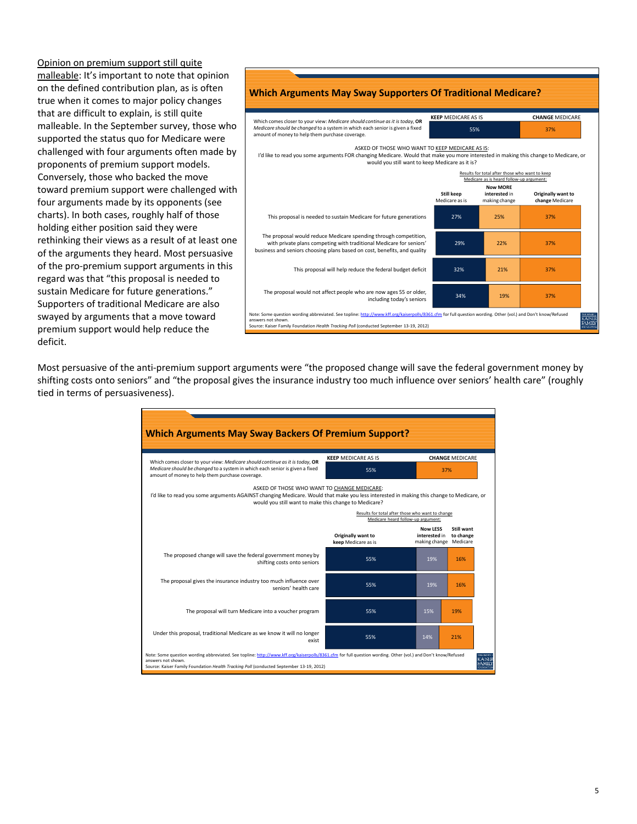Opinion on premium support still quite malleable: It's important to note that opinion on the defined contribution plan, as is often true when it comes to major policy changes that are difficult to explain, is still quite malleable. In the September survey, those who supported the status quo for Medicare were challenged with four arguments often made by proponents of premium support models. Conversely, those who backed the move toward premium support were challenged with four arguments made by its opponents (see charts). In both cases, roughly half of those holding either position said they were rethinking their views as a result of at least one of the arguments they heard. Most persuasive of the pro‐premium support arguments in this regard was that "this proposal is needed to sustain Medicare for future generations." Supporters of traditional Medicare are also swayed by arguments that a move toward premium support would help reduce the deficit.



Most persuasive of the anti-premium support arguments were "the proposed change will save the federal government money by shifting costs onto seniors" and "the proposal gives the insurance industry too much influence over seniors' health care" (roughly tied in terms of persuasiveness).

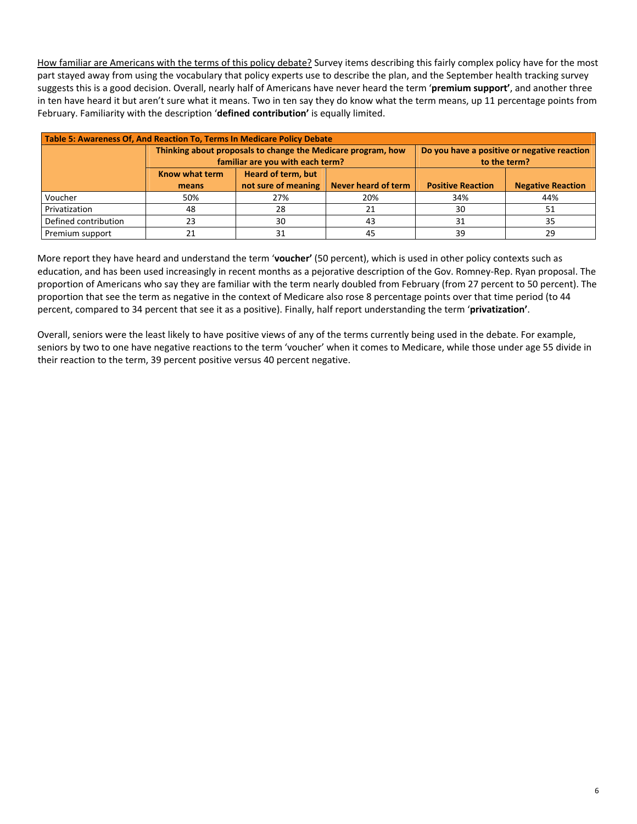How familiar are Americans with the terms of this policy debate? Survey items describing this fairly complex policy have for the most part stayed away from using the vocabulary that policy experts use to describe the plan, and the September health tracking survey suggests this is a good decision. Overall, nearly half of Americans have never heard the term '**premium support'**, and another three in ten have heard it but aren't sure what it means. Two in ten say they do know what the term means, up 11 percentage points from February. Familiarity with the description '**defined contribution'** is equally limited.

| Table 5: Awareness Of, And Reaction To, Terms In Medicare Policy Debate |                |                                                              |                     |                                             |                          |  |  |
|-------------------------------------------------------------------------|----------------|--------------------------------------------------------------|---------------------|---------------------------------------------|--------------------------|--|--|
|                                                                         |                | Thinking about proposals to change the Medicare program, how |                     | Do you have a positive or negative reaction |                          |  |  |
|                                                                         |                | familiar are you with each term?                             |                     | to the term?                                |                          |  |  |
|                                                                         | Know what term | <b>Heard of term, but</b>                                    |                     |                                             |                          |  |  |
|                                                                         | means          | not sure of meaning                                          | Never heard of term | <b>Positive Reaction</b>                    | <b>Negative Reaction</b> |  |  |
| Voucher                                                                 | 50%            | 27%                                                          | 20%                 | 34%                                         | 44%                      |  |  |
| Privatization                                                           | 48             | 28                                                           | 21                  | 30                                          | 51                       |  |  |
| Defined contribution                                                    | 23             | 30                                                           | 43                  | 31                                          | 35                       |  |  |
| Premium support                                                         | 21             | 31                                                           | 45                  | 39                                          | 29                       |  |  |

More report they have heard and understand the term '**voucher'** (50 percent), which is used in other policy contexts such as education, and has been used increasingly in recent months as a pejorative description of the Gov. Romney‐Rep. Ryan proposal. The proportion of Americans who say they are familiar with the term nearly doubled from February (from 27 percent to 50 percent). The proportion that see the term as negative in the context of Medicare also rose 8 percentage points over that time period (to 44 percent, compared to 34 percent that see it as a positive). Finally, half report understanding the term '**privatization'**.

Overall, seniors were the least likely to have positive views of any of the terms currently being used in the debate. For example, seniors by two to one have negative reactions to the term 'voucher' when it comes to Medicare, while those under age 55 divide in their reaction to the term, 39 percent positive versus 40 percent negative.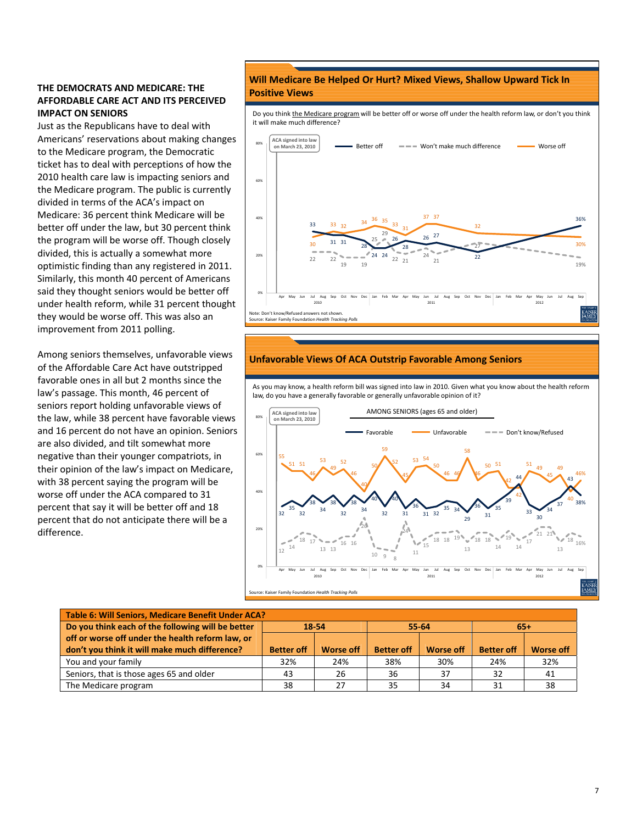## **THE DEMOCRATS AND MEDICARE: THE AFFORDABLE CARE ACT AND ITS PERCEIVED IMPACT ON SENIORS**

Just as the Republicans have to deal with Americans' reservations about making changes to the Medicare program, the Democratic ticket has to deal with perceptions of how the 2010 health care law is impacting seniors and the Medicare program. The public is currently divided in terms of the ACA's impact on Medicare: 36 percent think Medicare will be better off under the law, but 30 percent think the program will be worse off. Though closely divided, this is actually a somewhat more optimistic finding than any registered in 2011. Similarly, this month 40 percent of Americans said they thought seniors would be better off under health reform, while 31 percent thought they would be worse off. This was also an improvement from 2011 polling.

Among seniors themselves, unfavorable views of the Affordable Care Act have outstripped favorable ones in all but 2 months since the law's passage. This month, 46 percent of seniors report holding unfavorable views of the law, while 38 percent have favorable views and 16 percent do not have an opinion. Seniors are also divided, and tilt somewhat more negative than their younger compatriots, in their opinion of the law's impact on Medicare, with 38 percent saying the program will be worse off under the ACA compared to 31 percent that say it will be better off and 18 percent that do not anticipate there will be a difference.

## **Will Medicare Be Helped Or Hurt? Mixed Views, Shallow Upward Tick In Positive Views**

Do you think the Medicare program will be better off or worse off under the health reform law, or don't you think it will make much difference?



#### **Unfavorable Views Of ACA Outstrip Favorable Among Seniors**

As you may know, a health reform bill was signed into law in 2010. Given what you know about the health reform law, do you have a generally favorable or generally unfavorable opinion of it?



| Table 6: Will Seniors, Medicare Benefit Under ACA? |                   |                  |                   |                  |                   |                  |  |  |
|----------------------------------------------------|-------------------|------------------|-------------------|------------------|-------------------|------------------|--|--|
| Do you think each of the following will be better  | 18-54             |                  |                   | 55-64            | $65+$             |                  |  |  |
| off or worse off under the health reform law, or   |                   |                  |                   |                  |                   |                  |  |  |
| don't you think it will make much difference?      | <b>Better off</b> | <b>Worse off</b> | <b>Better off</b> | <b>Worse off</b> | <b>Better off</b> | <b>Worse off</b> |  |  |
| You and your family                                | 32%               | 24%              | 38%               | 30%              | 24%               | 32%              |  |  |
| Seniors, that is those ages 65 and older           | 43                | 26               | 36                | 37               | 32                | 41               |  |  |
| The Medicare program                               | 38                | 27               | 35                | 34               | 31                | 38               |  |  |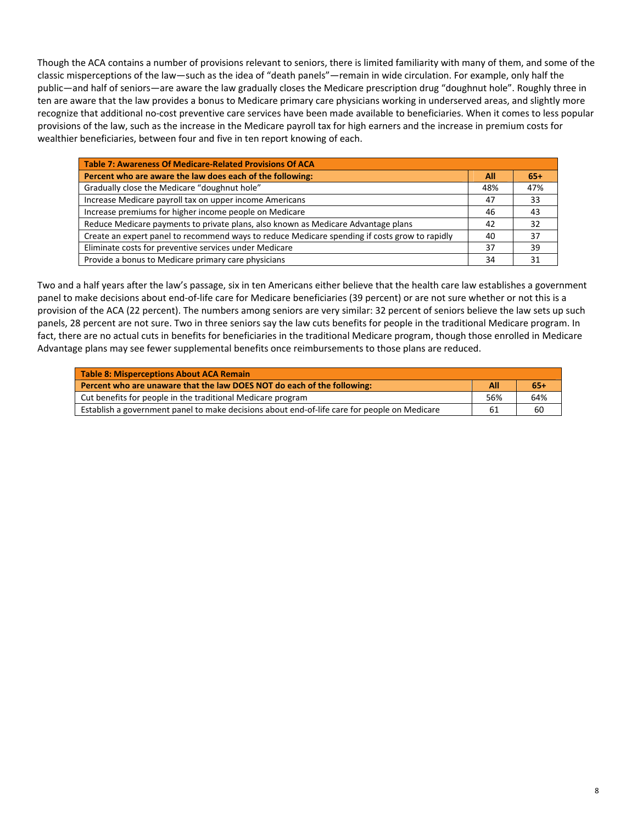Though the ACA contains a number of provisions relevant to seniors, there is limited familiarity with many of them, and some of the classic misperceptions of the law—such as the idea of "death panels"—remain in wide circulation. For example, only half the public—and half of seniors—are aware the law gradually closes the Medicare prescription drug "doughnut hole". Roughly three in ten are aware that the law provides a bonus to Medicare primary care physicians working in underserved areas, and slightly more recognize that additional no‐cost preventive care services have been made available to beneficiaries. When it comes to less popular provisions of the law, such as the increase in the Medicare payroll tax for high earners and the increase in premium costs for wealthier beneficiaries, between four and five in ten report knowing of each.

| <b>Table 7: Awareness Of Medicare-Related Provisions Of ACA</b>                               |     |       |  |  |  |  |
|-----------------------------------------------------------------------------------------------|-----|-------|--|--|--|--|
| Percent who are aware the law does each of the following:                                     | All | $65+$ |  |  |  |  |
| Gradually close the Medicare "doughnut hole"                                                  | 48% | 47%   |  |  |  |  |
| Increase Medicare payroll tax on upper income Americans                                       | 47  | 33    |  |  |  |  |
| Increase premiums for higher income people on Medicare                                        | 46  | 43    |  |  |  |  |
| Reduce Medicare payments to private plans, also known as Medicare Advantage plans             | 42  | 32    |  |  |  |  |
| Create an expert panel to recommend ways to reduce Medicare spending if costs grow to rapidly | 40  | 37    |  |  |  |  |
| Eliminate costs for preventive services under Medicare                                        | 37  | 39    |  |  |  |  |
| Provide a bonus to Medicare primary care physicians                                           | 34  | 31    |  |  |  |  |

Two and a half years after the law's passage, six in ten Americans either believe that the health care law establishes a government panel to make decisions about end‐of‐life care for Medicare beneficiaries (39 percent) or are not sure whether or not this is a provision of the ACA (22 percent). The numbers among seniors are very similar: 32 percent of seniors believe the law sets up such panels, 28 percent are not sure. Two in three seniors say the law cuts benefits for people in the traditional Medicare program. In fact, there are no actual cuts in benefits for beneficiaries in the traditional Medicare program, though those enrolled in Medicare Advantage plans may see fewer supplemental benefits once reimbursements to those plans are reduced.

| Table 8: Misperceptions About ACA Remain                                                     |     |       |
|----------------------------------------------------------------------------------------------|-----|-------|
| Percent who are unaware that the law DOES NOT do each of the following:                      | All | $65+$ |
| Cut benefits for people in the traditional Medicare program                                  | 56% | 64%   |
| Establish a government panel to make decisions about end-of-life care for people on Medicare | 61  | 60    |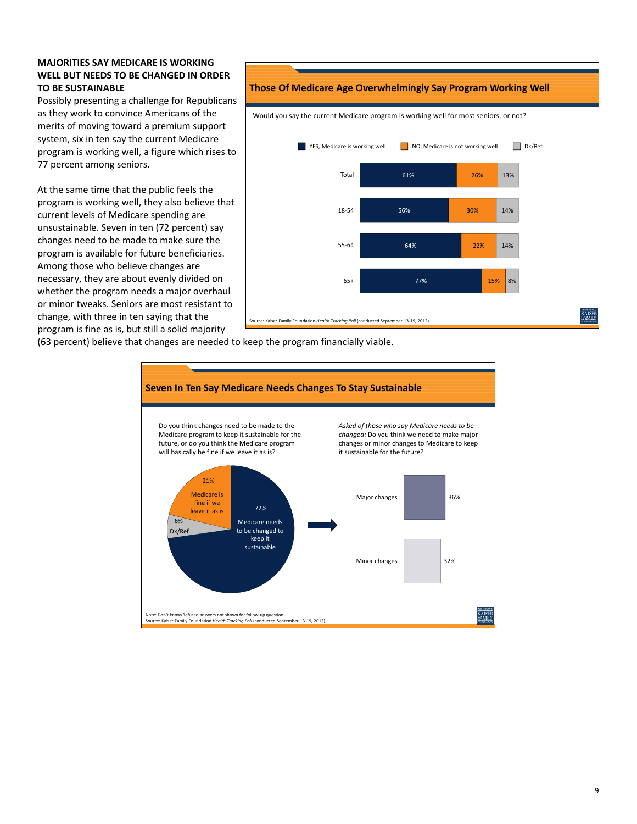## **MAJORITIES SAY MEDICARE IS WORKING WELL BUT NEEDS TO BE CHANGED IN ORDER TO BE SUSTAINABLE**

Possibly presenting a challenge for Republicans as they work to convince Americans of the merits of moving toward a premium support system, six in ten say the current Medicare program is working well, a figure which rises to 77 percent among seniors.

At the same time that the public feels the program is working well, they also believe that current levels of Medicare spending are unsustainable. Seven in ten (72 percent) say changes need to be made to make sure the program is available for future beneficiaries. Among those who believe changes are necessary, they are about evenly divided on whether the program needs a major overhaul or minor tweaks. Seniors are most resistant to change, with three in ten saying that the program is fine as is, but still a solid majority



(63 percent) believe that changes are needed to keep the program financially viable.

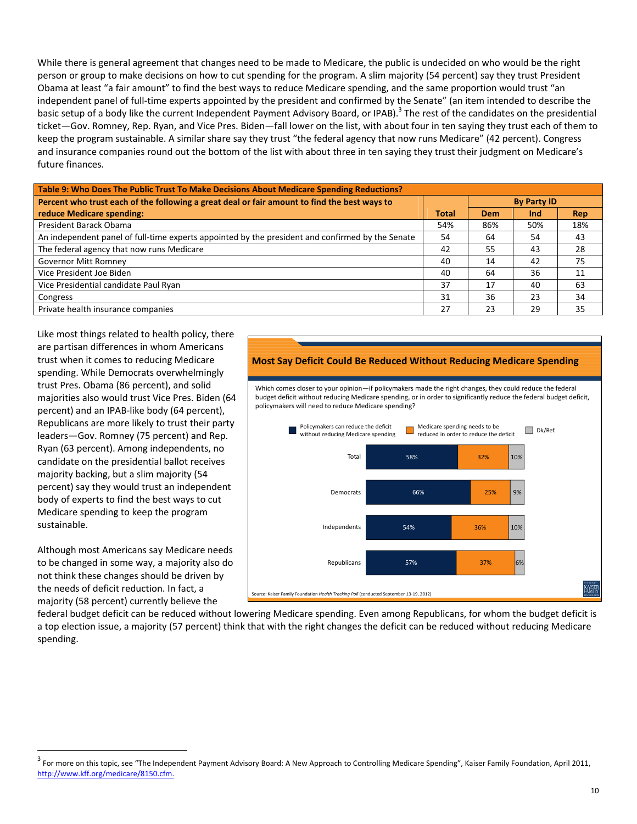While there is general agreement that changes need to be made to Medicare, the public is undecided on who would be the right person or group to make decisions on how to cut spending for the program. A slim majority (54 percent) say they trust President Obama at least "a fair amount" to find the best ways to reduce Medicare spending, and the same proportion would trust "an independent panel of full‐time experts appointed by the president and confirmed by the Senate" (an item intended to describe the basic setup of a body like the current Independent Payment Advisory Board, or IPAB).<sup>3</sup> The rest of the candidates on the presidential ticket—Gov. Romney, Rep. Ryan, and Vice Pres. Biden—fall lower on the list, with about four in ten saying they trust each of them to keep the program sustainable. A similar share say they trust "the federal agency that now runs Medicare" (42 percent). Congress and insurance companies round out the bottom of the list with about three in ten saying they trust their judgment on Medicare's future finances.

| Table 9: Who Does The Public Trust To Make Decisions About Medicare Spending Reductions?         |              |     |                    |     |  |  |  |
|--------------------------------------------------------------------------------------------------|--------------|-----|--------------------|-----|--|--|--|
| Percent who trust each of the following a great deal or fair amount to find the best ways to     |              |     | <b>By Party ID</b> |     |  |  |  |
| reduce Medicare spending:                                                                        | <b>Total</b> | Dem | Ind                | Rep |  |  |  |
| President Barack Obama                                                                           | 54%          | 86% | 50%                | 18% |  |  |  |
| An independent panel of full-time experts appointed by the president and confirmed by the Senate | 54           | 64  | 54                 | 43  |  |  |  |
| The federal agency that now runs Medicare                                                        | 42           | 55  | 43                 | 28  |  |  |  |
| <b>Governor Mitt Romney</b>                                                                      | 40           | 14  | 42                 | 75  |  |  |  |
| Vice President Joe Biden                                                                         | 40           | 64  | 36                 | 11  |  |  |  |
| Vice Presidential candidate Paul Ryan                                                            | 37           | 17  | 40                 | 63  |  |  |  |
| Congress                                                                                         | 31           | 36  | 23                 | 34  |  |  |  |
| Private health insurance companies                                                               | 27           | 23  | 29                 | 35  |  |  |  |

Like most things related to health policy, there are partisan differences in whom Americans trust when it comes to reducing Medicare spending. While Democrats overwhelmingly trust Pres. Obama (86 percent), and solid majorities also would trust Vice Pres. Biden (64 percent) and an IPAB‐like body (64 percent), Republicans are more likely to trust their party leaders—Gov. Romney (75 percent) and Rep. Ryan (63 percent). Among independents, no candidate on the presidential ballot receives majority backing, but a slim majority (54 percent) say they would trust an independent body of experts to find the best ways to cut Medicare spending to keep the program sustainable.

Although most Americans say Medicare needs to be changed in some way, a majority also do not think these changes should be driven by the needs of deficit reduction. In fact, a majority (58 percent) currently believe the

## **Most Say Deficit Could Be Reduced Without Reducing Medicare Spending**

Which comes closer to your opinion—if policymakers made the right changes, they could reduce the federal budget deficit without reducing Medicare spending, or in order to significantly reduce the federal budget deficit, policymakers will need to reduce Medicare spending?



federal budget deficit can be reduced without lowering Medicare spending. Even among Republicans, for whom the budget deficit is a top election issue, a majority (57 percent) think that with the right changes the deficit can be reduced without reducing Medicare spending.

 $3$  For more on this topic, see "The Independent Payment Advisory Board: A New Approach to Controlling Medicare Spending", Kaiser Family Foundation, April 2011, http://www.kff.org/medicare/8150.cfm.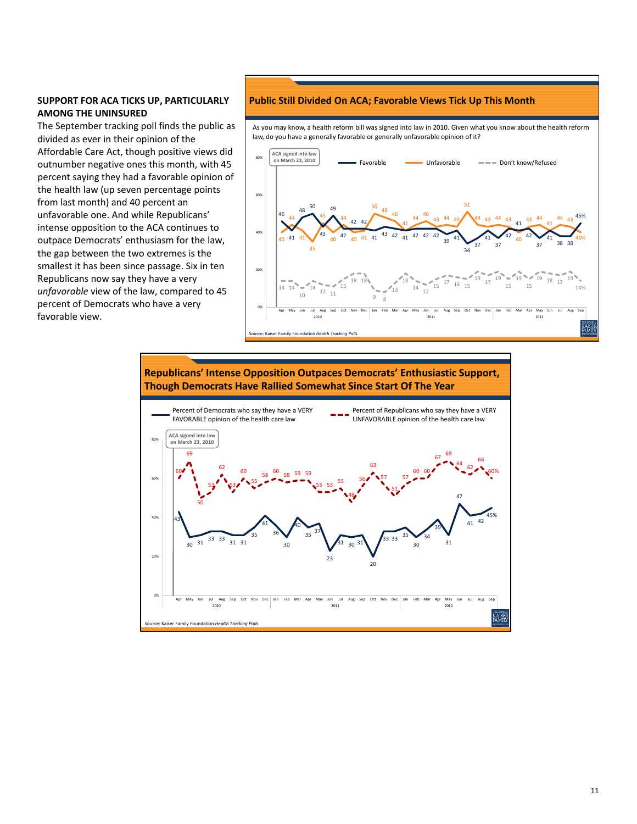# **SUPPORT FOR ACA TICKS UP, PARTICULARLY AMONG THE UNINSURED**

The September tracking poll finds the public as divided as ever in their opinion of the Affordable Care Act, though positive views did outnumber negative ones this month, with 45 percent saying they had a favorable opinion of the health law (up seven percentage points from last month) and 40 percent an unfavorable one. And while Republicans' intense opposition to the ACA continues to outpace Democrats' enthusiasm for the law, the gap between the two extremes is the smallest it has been since passage. Six in ten Republicans now say they have a very *unfavorable* view of the law, compared to 45 percent of Democrats who have a very favorable view.

## **Public Still Divided On ACA; Favorable Views Tick Up This Month**

As you may know, a health reform bill was signed into law in 2010. Given what you know about the health reform law, do you have a generally favorable or generally unfavorable opinion of it?





11